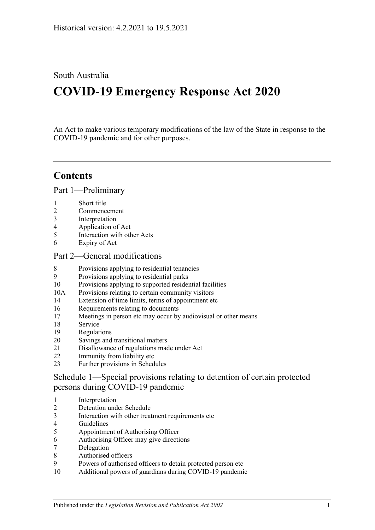# South Australia

# **COVID-19 Emergency Response Act 2020**

An Act to make various temporary modifications of the law of the State in response to the COVID-19 pandemic and for other purposes.

# **Contents**

Part [1—Preliminary](#page-2-0)

- [Short title](#page-2-1)
- [Commencement](#page-2-2)
- [Interpretation](#page-2-3)
- [Application of Act](#page-2-4)
- [Interaction with other Acts](#page-2-5)
- [Expiry of Act](#page-2-6)

## Part [2—General modifications](#page-3-0)

- [Provisions applying to residential tenancies](#page-3-1)
- [Provisions applying to residential parks](#page-6-0)
- [Provisions applying to supported residential facilities](#page-6-1)
- 10A [Provisions relating to certain community visitors](#page-8-0)
- [Extension of time limits, terms of appointment etc](#page-9-0)
- [Requirements relating to documents](#page-10-0)
- [Meetings in person etc may occur by audiovisual or other means](#page-10-1)
- [Service](#page-11-0)
- [Regulations](#page-11-1)
- [Savings and transitional matters](#page-12-0)
- [Disallowance of regulations made under Act](#page-13-0)
- [Immunity from liability etc](#page-13-1)
- [Further provisions in Schedules](#page-14-0)

Schedule [1—Special provisions relating to detention of certain protected](#page-14-1)  [persons during COVID-19 pandemic](#page-14-1)

- [Interpretation](#page-14-2)
- [Detention under Schedule](#page-15-0)
- [Interaction with other treatment requirements etc](#page-15-1)
- [Guidelines](#page-15-2)
- [Appointment of Authorising](#page-15-3) Officer
- [Authorising Officer may give directions](#page-16-0)
- [Delegation](#page-17-0)
- [Authorised officers](#page-17-1)
- [Powers of authorised officers to detain protected person etc](#page-17-2)
- [Additional powers of guardians during COVID-19 pandemic](#page-18-0)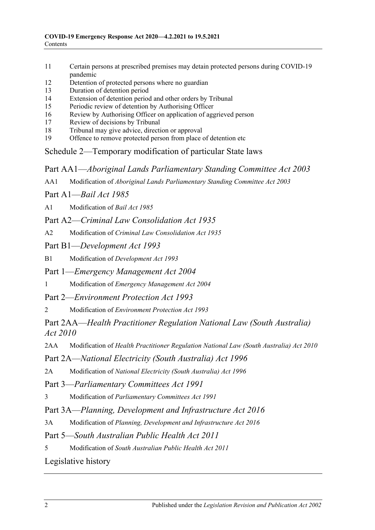- 11 [Certain persons at prescribed premises may detain protected persons during COVID-19](#page-19-0)  [pandemic](#page-19-0)
- 12 [Detention of protected persons where no guardian](#page-19-1)
- 13 [Duration of detention period](#page-20-0)
- 14 [Extension of detention period and other orders by Tribunal](#page-20-1)
- 15 [Periodic review of detention by Authorising Officer](#page-21-0)
- 16 [Review by Authorising Officer on application of aggrieved person](#page-21-1)
- 17 [Review of decisions by Tribunal](#page-21-2)
- 18 [Tribunal may give advice, direction or approval](#page-22-0)
- 19 [Offence to remove protected person from place of detention etc](#page-22-1)

Schedule [2—Temporary modification of particular State laws](#page-22-2)

Part AA1—*Aboriginal Lands Parliamentary Standing Committee Act 2003*

AA1 Modification of *[Aboriginal Lands Parliamentary Standing Committee Act](#page-22-3) 2003*

Part A1—*Bail Act 1985*

A1 [Modification of](#page-23-0) *Bail Act 1985*

Part A2—*Criminal Law Consolidation Act 1935*

- A2 Modification of *[Criminal Law Consolidation Act](#page-23-1) 1935*
- Part B1—*Development Act 1993*

B1 Modification of *[Development Act](#page-24-0) 1993*

Part 1—*Emergency Management Act 2004*

1 Modification of *[Emergency Management Act](#page-24-1) 2004*

Part 2—*Environment Protection Act 1993*

2 Modification of *[Environment Protection Act](#page-27-0) 1993*

Part 2AA—*Health Practitioner Regulation National Law (South Australia) Act 2010*

2AA Modification of *[Health Practitioner Regulation National Law \(South Australia\) Act](#page-27-1) 2010*

Part 2A—*National Electricity (South Australia) Act 1996*

2A Modification of *[National Electricity \(South Australia\) Act](#page-28-0) 1996*

Part 3—*Parliamentary Committees Act 1991*

3 Modification of *[Parliamentary Committees Act](#page-28-1) 1991*

Part 3A—*Planning, Development and Infrastructure Act 2016*

3A Modification of *[Planning, Development and Infrastructure Act](#page-30-0) 2016*

Part 5—*South Australian Public Health Act 2011*

5 Modification of *[South Australian Public Health Act](#page-30-1) 2011*

[Legislative history](#page-32-0)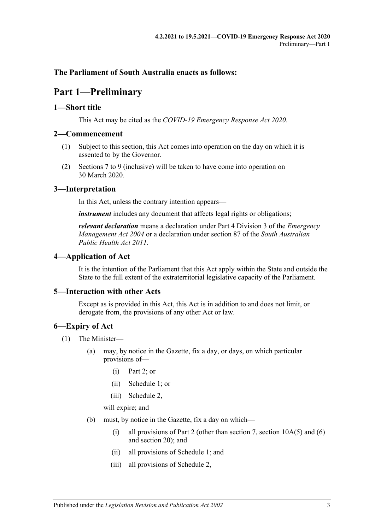# <span id="page-2-0"></span>**The Parliament of South Australia enacts as follows:**

# **Part 1—Preliminary**

## <span id="page-2-1"></span>**1—Short title**

This Act may be cited as the *COVID-19 Emergency Response Act 2020*.

## <span id="page-2-2"></span>**2—Commencement**

- (1) Subject to this section, this Act comes into operation on the day on which it is assented to by the Governor.
- (2) Sections 7 to [9](#page-6-0) (inclusive) will be taken to have come into operation on 30 March 2020.

# <span id="page-2-3"></span>**3—Interpretation**

In this Act, unless the contrary intention appears—

*instrument* includes any document that affects legal rights or obligations;

*relevant declaration* means a declaration under Part 4 Division 3 of the *[Emergency](http://www.legislation.sa.gov.au/index.aspx?action=legref&type=act&legtitle=Emergency%20Management%20Act%202004)  [Management Act](http://www.legislation.sa.gov.au/index.aspx?action=legref&type=act&legtitle=Emergency%20Management%20Act%202004) 2004* or a declaration under section 87 of the *[South Australian](http://www.legislation.sa.gov.au/index.aspx?action=legref&type=act&legtitle=South%20Australian%20Public%20Health%20Act%202011)  [Public Health Act](http://www.legislation.sa.gov.au/index.aspx?action=legref&type=act&legtitle=South%20Australian%20Public%20Health%20Act%202011) 2011*.

# <span id="page-2-4"></span>**4—Application of Act**

It is the intention of the Parliament that this Act apply within the State and outside the State to the full extent of the extraterritorial legislative capacity of the Parliament.

# <span id="page-2-5"></span>**5—Interaction with other Acts**

Except as is provided in this Act, this Act is in addition to and does not limit, or derogate from, the provisions of any other Act or law.

# <span id="page-2-6"></span>**6—Expiry of Act**

- (1) The Minister—
	- (a) may, by notice in the Gazette, fix a day, or days, on which particular provisions of—
		- (i) [Part](#page-3-0) 2; or
		- (ii) [Schedule](#page-14-1) 1; or
		- (iii) [Schedule](#page-22-2) 2,

will expire; and

- <span id="page-2-7"></span>(b) must, by notice in the Gazette, fix a day on which—
	- (i) all provisions of [Part](#page-3-0) 2 (other than [section](#page-9-1) 7, section  $10A(5)$  and [\(6\)](#page-9-2) and [section](#page-12-0) 20); and
	- (ii) all provisions of [Schedule](#page-14-1) 1; and
	- (iii) all provisions of [Schedule](#page-22-2) 2,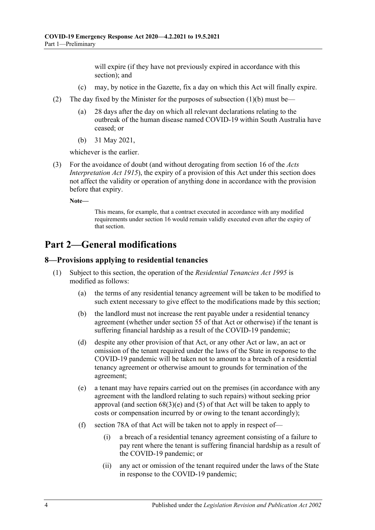will expire (if they have not previously expired in accordance with this section); and

- (c) may, by notice in the Gazette, fix a day on which this Act will finally expire.
- (2) The day fixed by the Minister for the purposes of [subsection](#page-2-7) (1)(b) must be—
	- (a) 28 days after the day on which all relevant declarations relating to the outbreak of the human disease named COVID-19 within South Australia have ceased; or
	- (b) 31 May 2021,

whichever is the earlier.

(3) For the avoidance of doubt (and without derogating from section 16 of the *[Acts](http://www.legislation.sa.gov.au/index.aspx?action=legref&type=act&legtitle=Acts%20Interpretation%20Act%201915)  [Interpretation Act](http://www.legislation.sa.gov.au/index.aspx?action=legref&type=act&legtitle=Acts%20Interpretation%20Act%201915) 1915*), the expiry of a provision of this Act under this section does not affect the validity or operation of anything done in accordance with the provision before that expiry.

**Note—**

This means, for example, that a contract executed in accordance with any modified requirements under [section](#page-10-0) 16 would remain validly executed even after the expiry of that section.

# <span id="page-3-0"></span>**Part 2—General modifications**

#### <span id="page-3-1"></span>**8—Provisions applying to residential tenancies**

- (1) Subject to this section, the operation of the *[Residential Tenancies Act](http://www.legislation.sa.gov.au/index.aspx?action=legref&type=act&legtitle=Residential%20Tenancies%20Act%201995) 1995* is modified as follows:
	- (a) the terms of any residential tenancy agreement will be taken to be modified to such extent necessary to give effect to the modifications made by this section;
	- (b) the landlord must not increase the rent payable under a residential tenancy agreement (whether under section 55 of that Act or otherwise) if the tenant is suffering financial hardship as a result of the COVID-19 pandemic;
	- (d) despite any other provision of that Act, or any other Act or law, an act or omission of the tenant required under the laws of the State in response to the COVID-19 pandemic will be taken not to amount to a breach of a residential tenancy agreement or otherwise amount to grounds for termination of the agreement;
	- (e) a tenant may have repairs carried out on the premises (in accordance with any agreement with the landlord relating to such repairs) without seeking prior approval (and section 68(3)(e) and (5) of that Act will be taken to apply to costs or compensation incurred by or owing to the tenant accordingly);
	- (f) section 78A of that Act will be taken not to apply in respect of—
		- (i) a breach of a residential tenancy agreement consisting of a failure to pay rent where the tenant is suffering financial hardship as a result of the COVID-19 pandemic; or
		- (ii) any act or omission of the tenant required under the laws of the State in response to the COVID-19 pandemic;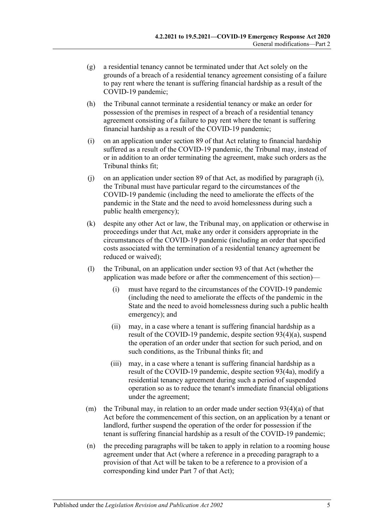- (g) a residential tenancy cannot be terminated under that Act solely on the grounds of a breach of a residential tenancy agreement consisting of a failure to pay rent where the tenant is suffering financial hardship as a result of the COVID-19 pandemic;
- (h) the Tribunal cannot terminate a residential tenancy or make an order for possession of the premises in respect of a breach of a residential tenancy agreement consisting of a failure to pay rent where the tenant is suffering financial hardship as a result of the COVID-19 pandemic;
- <span id="page-4-0"></span>(i) on an application under section 89 of that Act relating to financial hardship suffered as a result of the COVID-19 pandemic, the Tribunal may, instead of or in addition to an order terminating the agreement, make such orders as the Tribunal thinks fit;
- $(i)$  on an application under section 89 of that Act, as modified by [paragraph](#page-4-0)  $(i)$ , the Tribunal must have particular regard to the circumstances of the COVID-19 pandemic (including the need to ameliorate the effects of the pandemic in the State and the need to avoid homelessness during such a public health emergency);
- (k) despite any other Act or law, the Tribunal may, on application or otherwise in proceedings under that Act, make any order it considers appropriate in the circumstances of the COVID-19 pandemic (including an order that specified costs associated with the termination of a residential tenancy agreement be reduced or waived);
- (l) the Tribunal, on an application under section 93 of that Act (whether the application was made before or after the commencement of this section)—
	- (i) must have regard to the circumstances of the COVID-19 pandemic (including the need to ameliorate the effects of the pandemic in the State and the need to avoid homelessness during such a public health emergency); and
	- (ii) may, in a case where a tenant is suffering financial hardship as a result of the COVID-19 pandemic, despite section 93(4)(a), suspend the operation of an order under that section for such period, and on such conditions, as the Tribunal thinks fit; and
	- (iii) may, in a case where a tenant is suffering financial hardship as a result of the COVID-19 pandemic, despite section 93(4a), modify a residential tenancy agreement during such a period of suspended operation so as to reduce the tenant's immediate financial obligations under the agreement;
- (m) the Tribunal may, in relation to an order made under section  $93(4)(a)$  of that Act before the commencement of this section, on an application by a tenant or landlord, further suspend the operation of the order for possession if the tenant is suffering financial hardship as a result of the COVID-19 pandemic;
- (n) the preceding paragraphs will be taken to apply in relation to a rooming house agreement under that Act (where a reference in a preceding paragraph to a provision of that Act will be taken to be a reference to a provision of a corresponding kind under Part 7 of that Act);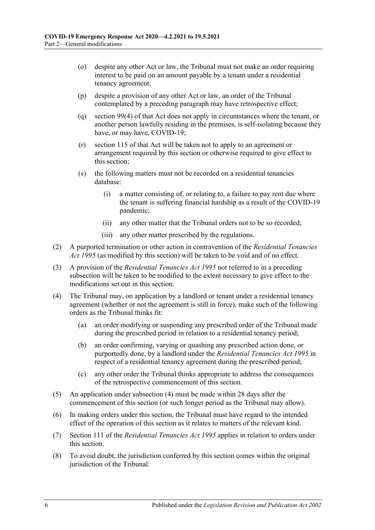- (o) despite any other Act or law, the Tribunal must not make an order requiring interest to be paid on an amount payable by a tenant under a residential tenancy agreement;
- (p) despite a provision of any other Act or law, an order of the Tribunal contemplated by a preceding paragraph may have retrospective effect;
- (q) section 99(4) of that Act does not apply in circumstances where the tenant, or another person lawfully residing in the premises, is self-isolating because they have, or may have, COVID-19;
- (r) section 115 of that Act will be taken not to apply to an agreement or arrangement required by this section or otherwise required to give effect to this section;
- (s) the following matters must not be recorded on a residential tenancies database:
	- (i) a matter consisting of, or relating to, a failure to pay rent due where the tenant is suffering financial hardship as a result of the COVID-19 pandemic;
	- (ii) any other matter that the Tribunal orders not to be so recorded;
	- (iii) any other matter prescribed by the regulations.
- (2) A purported termination or other action in contravention of the *[Residential Tenancies](http://www.legislation.sa.gov.au/index.aspx?action=legref&type=act&legtitle=Residential%20Tenancies%20Act%201995)  Act [1995](http://www.legislation.sa.gov.au/index.aspx?action=legref&type=act&legtitle=Residential%20Tenancies%20Act%201995)* (as modified by this section) will be taken to be void and of no effect.
- (3) A provision of the *[Residential Tenancies Act](http://www.legislation.sa.gov.au/index.aspx?action=legref&type=act&legtitle=Residential%20Tenancies%20Act%201995) 1995* not referred to in a preceding subsection will be taken to be modified to the extent necessary to give effect to the modifications set out in this section.
- <span id="page-5-0"></span>(4) The Tribunal may, on application by a landlord or tenant under a residential tenancy agreement (whether or not the agreement is still in force), make such of the following orders as the Tribunal thinks fit:
	- (a) an order modifying or suspending any prescribed order of the Tribunal made during the prescribed period in relation to a residential tenancy period;
	- (b) an order confirming, varying or quashing any prescribed action done, or purportedly done, by a landlord under the *[Residential Tenancies Act](http://www.legislation.sa.gov.au/index.aspx?action=legref&type=act&legtitle=Residential%20Tenancies%20Act%201995) 1995* in respect of a residential tenancy agreement during the prescribed period;
	- (c) any other order the Tribunal thinks appropriate to address the consequences of the retrospective commencement of this section.
- (5) An application under [subsection](#page-5-0) (4) must be made within 28 days after the commencement of this section (or such longer period as the Tribunal may allow).
- (6) In making orders under this section, the Tribunal must have regard to the intended effect of the operation of this section as it relates to matters of the relevant kind.
- (7) Section 111 of the *[Residential Tenancies Act](http://www.legislation.sa.gov.au/index.aspx?action=legref&type=act&legtitle=Residential%20Tenancies%20Act%201995) 1995* applies in relation to orders under this section.
- (8) To avoid doubt, the jurisdiction conferred by this section comes within the original jurisdiction of the Tribunal.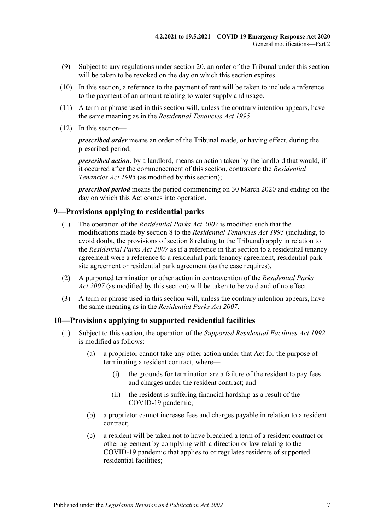- (9) Subject to any regulations under [section](#page-12-0) 20, an order of the Tribunal under this section will be taken to be revoked on the day on which this section expires.
- (10) In this section, a reference to the payment of rent will be taken to include a reference to the payment of an amount relating to water supply and usage.
- (11) A term or phrase used in this section will, unless the contrary intention appears, have the same meaning as in the *[Residential Tenancies Act](http://www.legislation.sa.gov.au/index.aspx?action=legref&type=act&legtitle=Residential%20Tenancies%20Act%201995) 1995*.
- (12) In this section—

*prescribed order* means an order of the Tribunal made, or having effect, during the prescribed period;

*prescribed action*, by a landlord, means an action taken by the landlord that would, if it occurred after the commencement of this section, contravene the *[Residential](http://www.legislation.sa.gov.au/index.aspx?action=legref&type=act&legtitle=Residential%20Tenancies%20Act%201995)  [Tenancies Act](http://www.legislation.sa.gov.au/index.aspx?action=legref&type=act&legtitle=Residential%20Tenancies%20Act%201995) 1995* (as modified by this section);

*prescribed period* means the period commencing on 30 March 2020 and ending on the day on which this Act comes into operation.

## <span id="page-6-0"></span>**9—Provisions applying to residential parks**

- (1) The operation of the *[Residential Parks Act](http://www.legislation.sa.gov.au/index.aspx?action=legref&type=act&legtitle=Residential%20Parks%20Act%202007) 2007* is modified such that the modifications made by [section](#page-3-1) 8 to the *[Residential Tenancies Act](http://www.legislation.sa.gov.au/index.aspx?action=legref&type=act&legtitle=Residential%20Tenancies%20Act%201995) 1995* (including, to avoid doubt, the provisions of [section](#page-3-1) 8 relating to the Tribunal) apply in relation to the *[Residential Parks Act](http://www.legislation.sa.gov.au/index.aspx?action=legref&type=act&legtitle=Residential%20Parks%20Act%202007) 2007* as if a reference in that section to a residential tenancy agreement were a reference to a residential park tenancy agreement, residential park site agreement or residential park agreement (as the case requires).
- (2) A purported termination or other action in contravention of the *[Residential Parks](http://www.legislation.sa.gov.au/index.aspx?action=legref&type=act&legtitle=Residential%20Parks%20Act%202007)  Act [2007](http://www.legislation.sa.gov.au/index.aspx?action=legref&type=act&legtitle=Residential%20Parks%20Act%202007)* (as modified by this section) will be taken to be void and of no effect.
- (3) A term or phrase used in this section will, unless the contrary intention appears, have the same meaning as in the *[Residential Parks Act](http://www.legislation.sa.gov.au/index.aspx?action=legref&type=act&legtitle=Residential%20Parks%20Act%202007) 2007*.

## <span id="page-6-1"></span>**10—Provisions applying to supported residential facilities**

- (1) Subject to this section, the operation of the *[Supported Residential Facilities Act](http://www.legislation.sa.gov.au/index.aspx?action=legref&type=act&legtitle=Supported%20Residential%20Facilities%20Act%201992) 1992* is modified as follows:
	- (a) a proprietor cannot take any other action under that Act for the purpose of terminating a resident contract, where—
		- (i) the grounds for termination are a failure of the resident to pay fees and charges under the resident contract; and
		- (ii) the resident is suffering financial hardship as a result of the COVID-19 pandemic;
	- (b) a proprietor cannot increase fees and charges payable in relation to a resident contract;
	- (c) a resident will be taken not to have breached a term of a resident contract or other agreement by complying with a direction or law relating to the COVID-19 pandemic that applies to or regulates residents of supported residential facilities;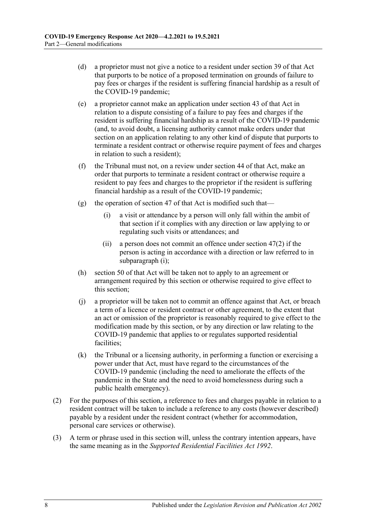- (d) a proprietor must not give a notice to a resident under section 39 of that Act that purports to be notice of a proposed termination on grounds of failure to pay fees or charges if the resident is suffering financial hardship as a result of the COVID-19 pandemic;
- (e) a proprietor cannot make an application under section 43 of that Act in relation to a dispute consisting of a failure to pay fees and charges if the resident is suffering financial hardship as a result of the COVID-19 pandemic (and, to avoid doubt, a licensing authority cannot make orders under that section on an application relating to any other kind of dispute that purports to terminate a resident contract or otherwise require payment of fees and charges in relation to such a resident);
- (f) the Tribunal must not, on a review under section 44 of that Act, make an order that purports to terminate a resident contract or otherwise require a resident to pay fees and charges to the proprietor if the resident is suffering financial hardship as a result of the COVID-19 pandemic;
- <span id="page-7-0"></span>(g) the operation of section 47 of that Act is modified such that—
	- (i) a visit or attendance by a person will only fall within the ambit of that section if it complies with any direction or law applying to or regulating such visits or attendances; and
	- (ii) a person does not commit an offence under section 47(2) if the person is acting in accordance with a direction or law referred to in [subparagraph](#page-7-0) (i);
- (h) section 50 of that Act will be taken not to apply to an agreement or arrangement required by this section or otherwise required to give effect to this section;
- (j) a proprietor will be taken not to commit an offence against that Act, or breach a term of a licence or resident contract or other agreement, to the extent that an act or omission of the proprietor is reasonably required to give effect to the modification made by this section, or by any direction or law relating to the COVID-19 pandemic that applies to or regulates supported residential facilities;
- (k) the Tribunal or a licensing authority, in performing a function or exercising a power under that Act, must have regard to the circumstances of the COVID-19 pandemic (including the need to ameliorate the effects of the pandemic in the State and the need to avoid homelessness during such a public health emergency).
- (2) For the purposes of this section, a reference to fees and charges payable in relation to a resident contract will be taken to include a reference to any costs (however described) payable by a resident under the resident contract (whether for accommodation, personal care services or otherwise).
- (3) A term or phrase used in this section will, unless the contrary intention appears, have the same meaning as in the *[Supported Residential Facilities Act](http://www.legislation.sa.gov.au/index.aspx?action=legref&type=act&legtitle=Supported%20Residential%20Facilities%20Act%201992) 1992*.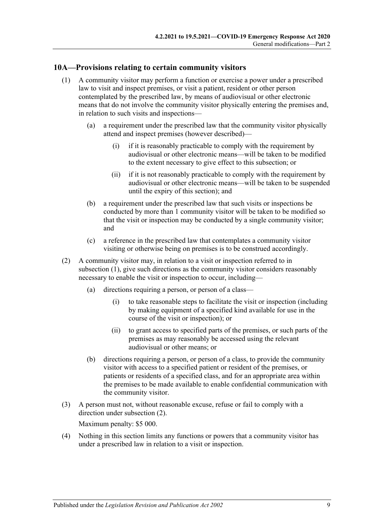## <span id="page-8-1"></span><span id="page-8-0"></span>**10A—Provisions relating to certain community visitors**

- (1) A community visitor may perform a function or exercise a power under a prescribed law to visit and inspect premises, or visit a patient, resident or other person contemplated by the prescribed law, by means of audiovisual or other electronic means that do not involve the community visitor physically entering the premises and, in relation to such visits and inspections—
	- (a) a requirement under the prescribed law that the community visitor physically attend and inspect premises (however described)—
		- (i) if it is reasonably practicable to comply with the requirement by audiovisual or other electronic means—will be taken to be modified to the extent necessary to give effect to this subsection; or
		- (ii) if it is not reasonably practicable to comply with the requirement by audiovisual or other electronic means—will be taken to be suspended until the expiry of this section); and
	- (b) a requirement under the prescribed law that such visits or inspections be conducted by more than 1 community visitor will be taken to be modified so that the visit or inspection may be conducted by a single community visitor; and
	- (c) a reference in the prescribed law that contemplates a community visitor visiting or otherwise being on premises is to be construed accordingly.
- <span id="page-8-2"></span>(2) A community visitor may, in relation to a visit or inspection referred to in [subsection](#page-8-1) (1), give such directions as the community visitor considers reasonably necessary to enable the visit or inspection to occur, including—
	- (a) directions requiring a person, or person of a class—
		- (i) to take reasonable steps to facilitate the visit or inspection (including by making equipment of a specified kind available for use in the course of the visit or inspection); or
		- (ii) to grant access to specified parts of the premises, or such parts of the premises as may reasonably be accessed using the relevant audiovisual or other means; or
	- (b) directions requiring a person, or person of a class, to provide the community visitor with access to a specified patient or resident of the premises, or patients or residents of a specified class, and for an appropriate area within the premises to be made available to enable confidential communication with the community visitor.
- (3) A person must not, without reasonable excuse, refuse or fail to comply with a direction under [subsection](#page-8-2) (2).

Maximum penalty: \$5 000.

(4) Nothing in this section limits any functions or powers that a community visitor has under a prescribed law in relation to a visit or inspection.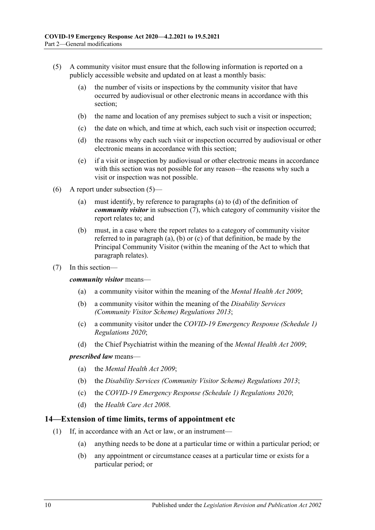- <span id="page-9-1"></span>(5) A community visitor must ensure that the following information is reported on a publicly accessible website and updated on at least a monthly basis:
	- (a) the number of visits or inspections by the community visitor that have occurred by audiovisual or other electronic means in accordance with this section;
	- (b) the name and location of any premises subject to such a visit or inspection;
	- (c) the date on which, and time at which, each such visit or inspection occurred;
	- (d) the reasons why each such visit or inspection occurred by audiovisual or other electronic means in accordance with this section;
	- (e) if a visit or inspection by audiovisual or other electronic means in accordance with this section was not possible for any reason—the reasons why such a visit or inspection was not possible.
- <span id="page-9-2"></span>(6) A report under [subsection](#page-9-1) (5)—
	- (a) must identify, by reference to [paragraphs](#page-9-3) (a) to [\(d\)](#page-9-4) of the definition of *community visitor* in [subsection](#page-9-5) (7), which category of community visitor the report relates to; and
	- (b) must, in a case where the report relates to a category of community visitor referred to in [paragraph](#page-9-3) (a), [\(b\)](#page-9-6) or [\(c\)](#page-9-7) of that definition, be made by the Principal Community Visitor (within the meaning of the Act to which that paragraph relates).
- <span id="page-9-5"></span><span id="page-9-3"></span>(7) In this section—

<span id="page-9-6"></span>*community visitor* means—

- (a) a community visitor within the meaning of the *[Mental Health Act](http://www.legislation.sa.gov.au/index.aspx?action=legref&type=act&legtitle=Mental%20Health%20Act%202009) 2009*;
- (b) a community visitor within the meaning of the *[Disability Services](http://www.legislation.sa.gov.au/index.aspx?action=legref&type=subordleg&legtitle=Disability%20Services%20(Community%20Visitor%20Scheme)%20Regulations%202013)  [\(Community Visitor Scheme\) Regulations](http://www.legislation.sa.gov.au/index.aspx?action=legref&type=subordleg&legtitle=Disability%20Services%20(Community%20Visitor%20Scheme)%20Regulations%202013) 2013*;
- <span id="page-9-7"></span>(c) a community visitor under the *[COVID-19 Emergency Response \(Schedule](http://www.legislation.sa.gov.au/index.aspx?action=legref&type=subordleg&legtitle=COVID-19%20Emergency%20Response%20(Schedule%201)%20Regulations%202020) 1) [Regulations](http://www.legislation.sa.gov.au/index.aspx?action=legref&type=subordleg&legtitle=COVID-19%20Emergency%20Response%20(Schedule%201)%20Regulations%202020) 2020*;
- (d) the Chief Psychiatrist within the meaning of the *[Mental Health Act](http://www.legislation.sa.gov.au/index.aspx?action=legref&type=act&legtitle=Mental%20Health%20Act%202009) 2009*;

#### <span id="page-9-4"></span>*prescribed law* means—

- (a) the *[Mental Health Act 2009](http://www.legislation.sa.gov.au/index.aspx?action=legref&type=act&legtitle=Mental%20Health%20Act%202009)*;
- (b) the *[Disability Services \(Community Visitor Scheme\) Regulations](http://www.legislation.sa.gov.au/index.aspx?action=legref&type=subordleg&legtitle=Disability%20Services%20(Community%20Visitor%20Scheme)%20Regulations%202013) 2013*;
- (c) the *[COVID-19 Emergency Response \(Schedule 1\) Regulations](http://www.legislation.sa.gov.au/index.aspx?action=legref&type=subordleg&legtitle=COVID-19%20Emergency%20Response%20(Schedule%201)%20Regulations%202020) 2020*;
- (d) the *[Health Care Act](http://www.legislation.sa.gov.au/index.aspx?action=legref&type=act&legtitle=Health%20Care%20Act%202008) 2008*.

#### <span id="page-9-8"></span><span id="page-9-0"></span>**14—Extension of time limits, terms of appointment etc**

- (1) If, in accordance with an Act or law, or an instrument—
	- (a) anything needs to be done at a particular time or within a particular period; or
	- (b) any appointment or circumstance ceases at a particular time or exists for a particular period; or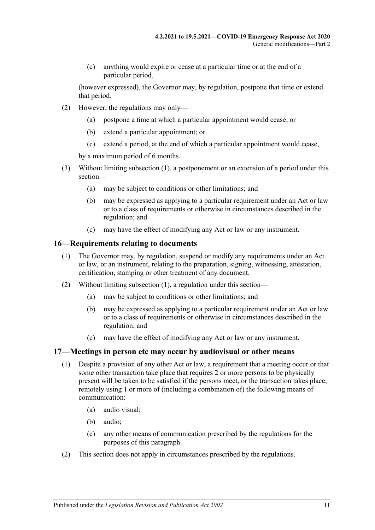(c) anything would expire or cease at a particular time or at the end of a particular period,

(however expressed), the Governor may, by regulation, postpone that time or extend that period.

- (2) However, the regulations may only—
	- (a) postpone a time at which a particular appointment would cease; or
	- (b) extend a particular appointment; or
	- (c) extend a period, at the end of which a particular appointment would cease,

by a maximum period of 6 months.

- (3) Without limiting [subsection](#page-9-8) (1), a postponement or an extension of a period under this section—
	- (a) may be subject to conditions or other limitations; and
	- (b) may be expressed as applying to a particular requirement under an Act or law or to a class of requirements or otherwise in circumstances described in the regulation; and
	- (c) may have the effect of modifying any Act or law or any instrument.

## <span id="page-10-2"></span><span id="page-10-0"></span>**16—Requirements relating to documents**

- (1) The Governor may, by regulation, suspend or modify any requirements under an Act or law, or an instrument, relating to the preparation, signing, witnessing, attestation, certification, stamping or other treatment of any document.
- (2) Without limiting [subsection](#page-10-2) (1), a regulation under this section—
	- (a) may be subject to conditions or other limitations; and
	- (b) may be expressed as applying to a particular requirement under an Act or law or to a class of requirements or otherwise in circumstances described in the regulation; and
	- (c) may have the effect of modifying any Act or law or any instrument.

## <span id="page-10-1"></span>**17—Meetings in person etc may occur by audiovisual or other means**

- (1) Despite a provision of any other Act or law, a requirement that a meeting occur or that some other transaction take place that requires 2 or more persons to be physically present will be taken to be satisfied if the persons meet, or the transaction takes place, remotely using 1 or more of (including a combination of) the following means of communication:
	- (a) audio visual;
	- (b) audio;
	- (c) any other means of communication prescribed by the regulations for the purposes of this paragraph.
- (2) This section does not apply in circumstances prescribed by the regulations.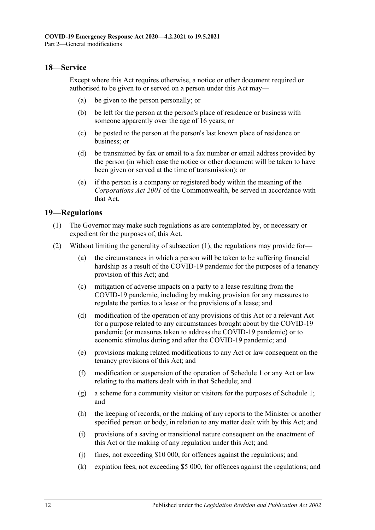## <span id="page-11-0"></span>**18—Service**

Except where this Act requires otherwise, a notice or other document required or authorised to be given to or served on a person under this Act may—

- (a) be given to the person personally; or
- (b) be left for the person at the person's place of residence or business with someone apparently over the age of 16 years; or
- (c) be posted to the person at the person's last known place of residence or business; or
- (d) be transmitted by fax or email to a fax number or email address provided by the person (in which case the notice or other document will be taken to have been given or served at the time of transmission); or
- (e) if the person is a company or registered body within the meaning of the *Corporations Act 2001* of the Commonwealth, be served in accordance with that Act.

## <span id="page-11-2"></span><span id="page-11-1"></span>**19—Regulations**

- (1) The Governor may make such regulations as are contemplated by, or necessary or expedient for the purposes of, this Act.
- (2) Without limiting the generality of [subsection](#page-11-2) (1), the regulations may provide for—
	- (a) the circumstances in which a person will be taken to be suffering financial hardship as a result of the COVID-19 pandemic for the purposes of a tenancy provision of this Act; and
	- (c) mitigation of adverse impacts on a party to a lease resulting from the COVID-19 pandemic, including by making provision for any measures to regulate the parties to a lease or the provisions of a lease; and
	- (d) modification of the operation of any provisions of this Act or a relevant Act for a purpose related to any circumstances brought about by the COVID-19 pandemic (or measures taken to address the COVID-19 pandemic) or to economic stimulus during and after the COVID-19 pandemic; and
	- (e) provisions making related modifications to any Act or law consequent on the tenancy provisions of this Act; and
	- (f) modification or suspension of the operation of [Schedule](#page-14-1) 1 or any Act or law relating to the matters dealt with in that Schedule; and
	- (g) a scheme for a community visitor or visitors for the purposes of [Schedule](#page-14-1) 1; and
	- (h) the keeping of records, or the making of any reports to the Minister or another specified person or body, in relation to any matter dealt with by this Act; and
	- (i) provisions of a saving or transitional nature consequent on the enactment of this Act or the making of any regulation under this Act; and
	- (j) fines, not exceeding \$10 000, for offences against the regulations; and
	- (k) expiation fees, not exceeding \$5 000, for offences against the regulations; and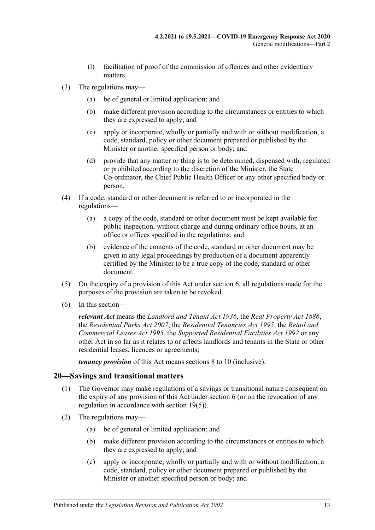- (l) facilitation of proof of the commission of offences and other evidentiary matters.
- (3) The regulations may—
	- (a) be of general or limited application; and
	- (b) make different provision according to the circumstances or entities to which they are expressed to apply; and
	- (c) apply or incorporate, wholly or partially and with or without modification, a code, standard, policy or other document prepared or published by the Minister or another specified person or body; and
	- (d) provide that any matter or thing is to be determined, dispensed with, regulated or prohibited according to the discretion of the Minister, the State Co-ordinator, the Chief Public Health Officer or any other specified body or person.
- (4) If a code, standard or other document is referred to or incorporated in the regulations—
	- (a) a copy of the code, standard or other document must be kept available for public inspection, without charge and during ordinary office hours, at an office or offices specified in the regulations; and
	- (b) evidence of the contents of the code, standard or other document may be given in any legal proceedings by production of a document apparently certified by the Minister to be a true copy of the code, standard or other document.
- <span id="page-12-1"></span>(5) On the expiry of a provision of this Act under [section](#page-2-6) 6, all regulations made for the purposes of the provision are taken to be revoked.
- (6) In this section—

*relevant Act* means the *[Landlord and Tenant Act](http://www.legislation.sa.gov.au/index.aspx?action=legref&type=act&legtitle=Landlord%20and%20Tenant%20Act%201936) 1936*, the *[Real Property Act](http://www.legislation.sa.gov.au/index.aspx?action=legref&type=act&legtitle=Real%20Property%20Act%201886) 1886*, the *[Residential Parks Act](http://www.legislation.sa.gov.au/index.aspx?action=legref&type=act&legtitle=Residential%20Parks%20Act%202007) 2007*, the *[Residential Tenancies Act](http://www.legislation.sa.gov.au/index.aspx?action=legref&type=act&legtitle=Residential%20Tenancies%20Act%201995) 1995*, the *[Retail and](http://www.legislation.sa.gov.au/index.aspx?action=legref&type=act&legtitle=Retail%20and%20Commercial%20Leases%20Act%201995)  [Commercial Leases Act](http://www.legislation.sa.gov.au/index.aspx?action=legref&type=act&legtitle=Retail%20and%20Commercial%20Leases%20Act%201995) 1995*, the *[Supported Residential Facilities Act](http://www.legislation.sa.gov.au/index.aspx?action=legref&type=act&legtitle=Supported%20Residential%20Facilities%20Act%201992) 1992* or any other Act in so far as it relates to or affects landlords and tenants in the State or other residential leases, licences or agreements;

*tenancy provision* of this Act means sections 8 to [10](#page-6-1) (inclusive).

## <span id="page-12-0"></span>**20—Savings and transitional matters**

- (1) The Governor may make regulations of a savings or transitional nature consequent on the expiry of any provision of this Act under [section](#page-2-6) 6 (or on the revocation of any regulation in accordance with [section](#page-12-1) 19(5)).
- (2) The regulations may—
	- (a) be of general or limited application; and
	- (b) make different provision according to the circumstances or entities to which they are expressed to apply; and
	- (c) apply or incorporate, wholly or partially and with or without modification, a code, standard, policy or other document prepared or published by the Minister or another specified person or body; and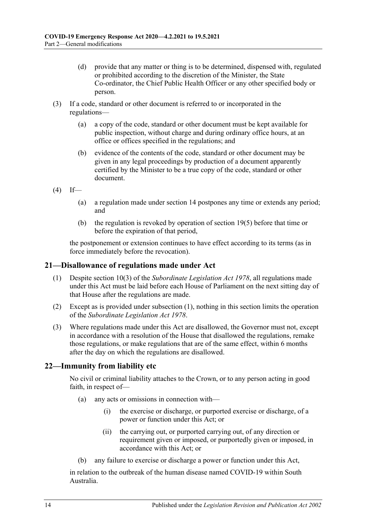- (d) provide that any matter or thing is to be determined, dispensed with, regulated or prohibited according to the discretion of the Minister, the State Co-ordinator, the Chief Public Health Officer or any other specified body or person.
- (3) If a code, standard or other document is referred to or incorporated in the regulations—
	- (a) a copy of the code, standard or other document must be kept available for public inspection, without charge and during ordinary office hours, at an office or offices specified in the regulations; and
	- (b) evidence of the contents of the code, standard or other document may be given in any legal proceedings by production of a document apparently certified by the Minister to be a true copy of the code, standard or other document.
- $(4)$  If—
	- (a) a regulation made under [section](#page-9-0) 14 postpones any time or extends any period; and
	- (b) the regulation is revoked by operation of [section](#page-12-1) 19(5) before that time or before the expiration of that period,

the postponement or extension continues to have effect according to its terms (as in force immediately before the revocation).

## <span id="page-13-2"></span><span id="page-13-0"></span>**21—Disallowance of regulations made under Act**

- (1) Despite section 10(3) of the *[Subordinate Legislation Act](http://www.legislation.sa.gov.au/index.aspx?action=legref&type=act&legtitle=Subordinate%20Legislation%20Act%201978) 1978*, all regulations made under this Act must be laid before each House of Parliament on the next sitting day of that House after the regulations are made.
- (2) Except as is provided under [subsection](#page-13-2) (1), nothing in this section limits the operation of the *[Subordinate Legislation Act](http://www.legislation.sa.gov.au/index.aspx?action=legref&type=act&legtitle=Subordinate%20Legislation%20Act%201978) 1978*.
- (3) Where regulations made under this Act are disallowed, the Governor must not, except in accordance with a resolution of the House that disallowed the regulations, remake those regulations, or make regulations that are of the same effect, within 6 months after the day on which the regulations are disallowed.

## <span id="page-13-1"></span>**22—Immunity from liability etc**

No civil or criminal liability attaches to the Crown, or to any person acting in good faith, in respect of—

- (a) any acts or omissions in connection with—
	- (i) the exercise or discharge, or purported exercise or discharge, of a power or function under this Act; or
	- (ii) the carrying out, or purported carrying out, of any direction or requirement given or imposed, or purportedly given or imposed, in accordance with this Act; or
- (b) any failure to exercise or discharge a power or function under this Act,

in relation to the outbreak of the human disease named COVID-19 within South Australia.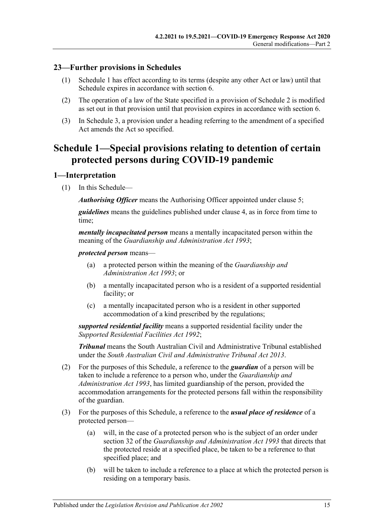# <span id="page-14-0"></span>**23—Further provisions in Schedules**

- (1) [Schedule](#page-14-1) 1 has effect according to its terms (despite any other Act or law) until that Schedule expires in accordance with [section](#page-2-6) 6.
- (2) The operation of a law of the State specified in a provision of [Schedule](#page-22-2) 2 is modified as set out in that provision until that provision expires in accordance with [section](#page-2-6) 6.
- (3) In Schedule 3, a provision under a heading referring to the amendment of a specified Act amends the Act so specified.

# <span id="page-14-1"></span>**Schedule 1—Special provisions relating to detention of certain protected persons during COVID-19 pandemic**

## <span id="page-14-2"></span>**1—Interpretation**

(1) In this Schedule—

*Authorising Officer* means the Authorising Officer appointed under [clause](#page-15-3) 5;

*guidelines* means the guidelines published under [clause](#page-15-2) 4, as in force from time to time;

*mentally incapacitated person* means a mentally incapacitated person within the meaning of the *[Guardianship and Administration Act](http://www.legislation.sa.gov.au/index.aspx?action=legref&type=act&legtitle=Guardianship%20and%20Administration%20Act%201993) 1993*;

#### *protected person* means—

- (a) a protected person within the meaning of the *[Guardianship and](http://www.legislation.sa.gov.au/index.aspx?action=legref&type=act&legtitle=Guardianship%20and%20Administration%20Act%201993)  [Administration Act](http://www.legislation.sa.gov.au/index.aspx?action=legref&type=act&legtitle=Guardianship%20and%20Administration%20Act%201993) 1993*; or
- (b) a mentally incapacitated person who is a resident of a supported residential facility; or
- (c) a mentally incapacitated person who is a resident in other supported accommodation of a kind prescribed by the regulations;

*supported residential facility* means a supported residential facility under the *[Supported Residential Facilities Act](http://www.legislation.sa.gov.au/index.aspx?action=legref&type=act&legtitle=Supported%20Residential%20Facilities%20Act%201992) 1992*;

*Tribunal* means the South Australian Civil and Administrative Tribunal established under the *[South Australian Civil and Administrative Tribunal Act](http://www.legislation.sa.gov.au/index.aspx?action=legref&type=act&legtitle=South%20Australian%20Civil%20and%20Administrative%20Tribunal%20Act%202013) 2013*.

- (2) For the purposes of this Schedule, a reference to the *guardian* of a person will be taken to include a reference to a person who, under the *[Guardianship and](http://www.legislation.sa.gov.au/index.aspx?action=legref&type=act&legtitle=Guardianship%20and%20Administration%20Act%201993)  [Administration Act](http://www.legislation.sa.gov.au/index.aspx?action=legref&type=act&legtitle=Guardianship%20and%20Administration%20Act%201993) 1993*, has limited guardianship of the person, provided the accommodation arrangements for the protected persons fall within the responsibility of the guardian.
- (3) For the purposes of this Schedule, a reference to the *usual place of residence* of a protected person—
	- (a) will, in the case of a protected person who is the subject of an order under section 32 of the *[Guardianship and Administration Act](http://www.legislation.sa.gov.au/index.aspx?action=legref&type=act&legtitle=Guardianship%20and%20Administration%20Act%201993) 1993* that directs that the protected reside at a specified place, be taken to be a reference to that specified place; and
	- (b) will be taken to include a reference to a place at which the protected person is residing on a temporary basis.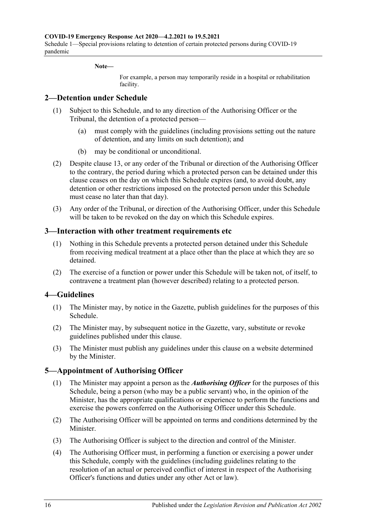#### **Note—**

For example, a person may temporarily reside in a hospital or rehabilitation facility.

#### <span id="page-15-0"></span>**2—Detention under Schedule**

- (1) Subject to this Schedule, and to any direction of the Authorising Officer or the Tribunal, the detention of a protected person—
	- (a) must comply with the guidelines (including provisions setting out the nature of detention, and any limits on such detention); and
	- (b) may be conditional or unconditional.
- (2) Despite [clause](#page-20-0) 13, or any order of the Tribunal or direction of the Authorising Officer to the contrary, the period during which a protected person can be detained under this clause ceases on the day on which this Schedule expires (and, to avoid doubt, any detention or other restrictions imposed on the protected person under this Schedule must cease no later than that day).
- (3) Any order of the Tribunal, or direction of the Authorising Officer, under this Schedule will be taken to be revoked on the day on which this Schedule expires.

#### <span id="page-15-1"></span>**3—Interaction with other treatment requirements etc**

- (1) Nothing in this Schedule prevents a protected person detained under this Schedule from receiving medical treatment at a place other than the place at which they are so detained.
- (2) The exercise of a function or power under this Schedule will be taken not, of itself, to contravene a treatment plan (however described) relating to a protected person.

## <span id="page-15-2"></span>**4—Guidelines**

- (1) The Minister may, by notice in the Gazette, publish guidelines for the purposes of this Schedule.
- (2) The Minister may, by subsequent notice in the Gazette, vary, substitute or revoke guidelines published under this clause.
- (3) The Minister must publish any guidelines under this clause on a website determined by the Minister.

#### <span id="page-15-3"></span>**5—Appointment of Authorising Officer**

- (1) The Minister may appoint a person as the *Authorising Officer* for the purposes of this Schedule, being a person (who may be a public servant) who, in the opinion of the Minister, has the appropriate qualifications or experience to perform the functions and exercise the powers conferred on the Authorising Officer under this Schedule.
- (2) The Authorising Officer will be appointed on terms and conditions determined by the Minister.
- (3) The Authorising Officer is subject to the direction and control of the Minister.
- (4) The Authorising Officer must, in performing a function or exercising a power under this Schedule, comply with the guidelines (including guidelines relating to the resolution of an actual or perceived conflict of interest in respect of the Authorising Officer's functions and duties under any other Act or law).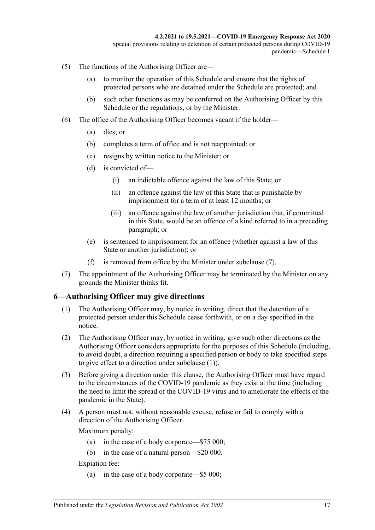- (5) The functions of the Authorising Officer are—
	- (a) to monitor the operation of this Schedule and ensure that the rights of protected persons who are detained under the Schedule are protected; and
	- (b) such other functions as may be conferred on the Authorising Officer by this Schedule or the regulations, or by the Minister.
- (6) The office of the Authorising Officer becomes vacant if the holder—
	- (a) dies; or
	- (b) completes a term of office and is not reappointed; or
	- (c) resigns by written notice to the Minister; or
	- (d) is convicted of—
		- (i) an indictable offence against the law of this State; or
		- (ii) an offence against the law of this State that is punishable by imprisonment for a term of at least 12 months; or
		- (iii) an offence against the law of another jurisdiction that, if committed in this State, would be an offence of a kind referred to in a preceding paragraph; or
	- (e) is sentenced to imprisonment for an offence (whether against a law of this State or another jurisdiction); or
	- (f) is removed from office by the Minister under [subclause](#page-16-1) (7).
- <span id="page-16-1"></span>(7) The appointment of the Authorising Officer may be terminated by the Minister on any grounds the Minister thinks fit.

## <span id="page-16-2"></span><span id="page-16-0"></span>**6—Authorising Officer may give directions**

- (1) The Authorising Officer may, by notice in writing, direct that the detention of a protected person under this Schedule cease forthwith, or on a day specified in the notice.
- (2) The Authorising Officer may, by notice in writing, give such other directions as the Authorising Officer considers appropriate for the purposes of this Schedule (including, to avoid doubt, a direction requiring a specified person or body to take specified steps to give effect to a direction under [subclause](#page-16-2) (1)).
- (3) Before giving a direction under this clause, the Authorising Officer must have regard to the circumstances of the COVID-19 pandemic as they exist at the time (including the need to limit the spread of the COVID-19 virus and to ameliorate the effects of the pandemic in the State).
- (4) A person must not, without reasonable excuse, refuse or fail to comply with a direction of the Authorising Officer.

Maximum penalty:

- (a) in the case of a body corporate—\$75 000;
- (b) in the case of a natural person—\$20 000.

Expiation fee:

(a) in the case of a body corporate—\$5 000;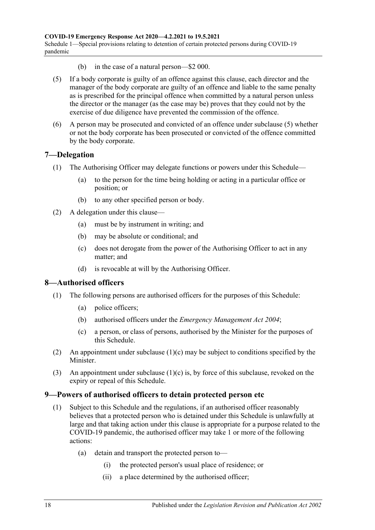- (b) in the case of a natural person—\$2 000.
- <span id="page-17-3"></span>(5) If a body corporate is guilty of an offence against this clause, each director and the manager of the body corporate are guilty of an offence and liable to the same penalty as is prescribed for the principal offence when committed by a natural person unless the director or the manager (as the case may be) proves that they could not by the exercise of due diligence have prevented the commission of the offence.
- (6) A person may be prosecuted and convicted of an offence under [subclause](#page-17-3) (5) whether or not the body corporate has been prosecuted or convicted of the offence committed by the body corporate.

## <span id="page-17-0"></span>**7—Delegation**

- (1) The Authorising Officer may delegate functions or powers under this Schedule—
	- (a) to the person for the time being holding or acting in a particular office or position; or
	- (b) to any other specified person or body.
- (2) A delegation under this clause—
	- (a) must be by instrument in writing; and
	- (b) may be absolute or conditional; and
	- (c) does not derogate from the power of the Authorising Officer to act in any matter; and
	- (d) is revocable at will by the Authorising Officer.

# <span id="page-17-1"></span>**8—Authorised officers**

- (1) The following persons are authorised officers for the purposes of this Schedule:
	- (a) police officers;
	- (b) authorised officers under the *[Emergency Management Act](http://www.legislation.sa.gov.au/index.aspx?action=legref&type=act&legtitle=Emergency%20Management%20Act%202004) 2004*;
	- (c) a person, or class of persons, authorised by the Minister for the purposes of this Schedule.
- <span id="page-17-4"></span>(2) An appointment under [subclause](#page-17-4) (1)(c) may be subject to conditions specified by the Minister.
- (3) An appointment under [subclause](#page-17-4) (1)(c) is, by force of this subclause, revoked on the expiry or repeal of this Schedule.

## <span id="page-17-2"></span>**9—Powers of authorised officers to detain protected person etc**

- (1) Subject to this Schedule and the regulations, if an authorised officer reasonably believes that a protected person who is detained under this Schedule is unlawfully at large and that taking action under this clause is appropriate for a purpose related to the COVID-19 pandemic, the authorised officer may take 1 or more of the following actions:
	- (a) detain and transport the protected person to—
		- (i) the protected person's usual place of residence; or
		- (ii) a place determined by the authorised officer;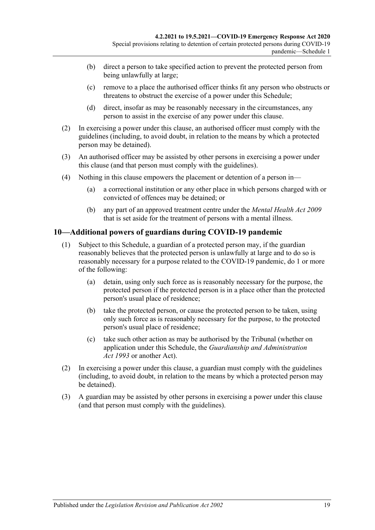- (b) direct a person to take specified action to prevent the protected person from being unlawfully at large;
- (c) remove to a place the authorised officer thinks fit any person who obstructs or threatens to obstruct the exercise of a power under this Schedule;
- (d) direct, insofar as may be reasonably necessary in the circumstances, any person to assist in the exercise of any power under this clause.
- (2) In exercising a power under this clause, an authorised officer must comply with the guidelines (including, to avoid doubt, in relation to the means by which a protected person may be detained).
- (3) An authorised officer may be assisted by other persons in exercising a power under this clause (and that person must comply with the guidelines).
- (4) Nothing in this clause empowers the placement or detention of a person in—
	- (a) a correctional institution or any other place in which persons charged with or convicted of offences may be detained; or
	- (b) any part of an approved treatment centre under the *[Mental Health Act](http://www.legislation.sa.gov.au/index.aspx?action=legref&type=act&legtitle=Mental%20Health%20Act%202009) 2009* that is set aside for the treatment of persons with a mental illness.

# <span id="page-18-0"></span>**10—Additional powers of guardians during COVID-19 pandemic**

- (1) Subject to this Schedule, a guardian of a protected person may, if the guardian reasonably believes that the protected person is unlawfully at large and to do so is reasonably necessary for a purpose related to the COVID-19 pandemic, do 1 or more of the following:
	- (a) detain, using only such force as is reasonably necessary for the purpose, the protected person if the protected person is in a place other than the protected person's usual place of residence;
	- (b) take the protected person, or cause the protected person to be taken, using only such force as is reasonably necessary for the purpose, to the protected person's usual place of residence;
	- (c) take such other action as may be authorised by the Tribunal (whether on application under this Schedule, the *[Guardianship and Administration](http://www.legislation.sa.gov.au/index.aspx?action=legref&type=act&legtitle=Guardianship%20and%20Administration%20Act%201993)  Act [1993](http://www.legislation.sa.gov.au/index.aspx?action=legref&type=act&legtitle=Guardianship%20and%20Administration%20Act%201993)* or another Act).
- (2) In exercising a power under this clause, a guardian must comply with the guidelines (including, to avoid doubt, in relation to the means by which a protected person may be detained).
- (3) A guardian may be assisted by other persons in exercising a power under this clause (and that person must comply with the guidelines).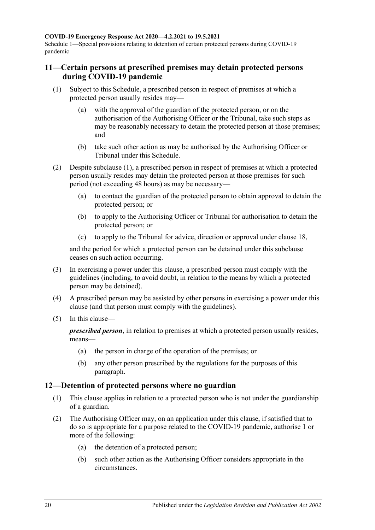# <span id="page-19-0"></span>**11—Certain persons at prescribed premises may detain protected persons during COVID-19 pandemic**

- <span id="page-19-3"></span><span id="page-19-2"></span>(1) Subject to this Schedule, a prescribed person in respect of premises at which a protected person usually resides may—
	- (a) with the approval of the guardian of the protected person, or on the authorisation of the Authorising Officer or the Tribunal, take such steps as may be reasonably necessary to detain the protected person at those premises; and
	- (b) take such other action as may be authorised by the Authorising Officer or Tribunal under this Schedule.
- (2) Despite [subclause](#page-19-2) (1), a prescribed person in respect of premises at which a protected person usually resides may detain the protected person at those premises for such period (not exceeding 48 hours) as may be necessary—
	- (a) to contact the guardian of the protected person to obtain approval to detain the protected person; or
	- (b) to apply to the Authorising Officer or Tribunal for authorisation to detain the protected person; or
	- (c) to apply to the Tribunal for advice, direction or approval under [clause](#page-22-0) 18,

and the period for which a protected person can be detained under this subclause ceases on such action occurring.

- (3) In exercising a power under this clause, a prescribed person must comply with the guidelines (including, to avoid doubt, in relation to the means by which a protected person may be detained).
- (4) A prescribed person may be assisted by other persons in exercising a power under this clause (and that person must comply with the guidelines).
- (5) In this clause—

*prescribed person*, in relation to premises at which a protected person usually resides, means—

- (a) the person in charge of the operation of the premises; or
- (b) any other person prescribed by the regulations for the purposes of this paragraph.

# <span id="page-19-1"></span>**12—Detention of protected persons where no guardian**

- (1) This clause applies in relation to a protected person who is not under the guardianship of a guardian.
- (2) The Authorising Officer may, on an application under this clause, if satisfied that to do so is appropriate for a purpose related to the COVID-19 pandemic, authorise 1 or more of the following:
	- (a) the detention of a protected person;
	- (b) such other action as the Authorising Officer considers appropriate in the circumstances.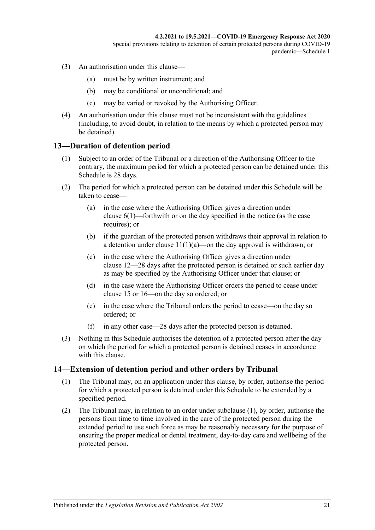- (3) An authorisation under this clause—
	- (a) must be by written instrument; and
	- (b) may be conditional or unconditional; and
	- (c) may be varied or revoked by the Authorising Officer.
- (4) An authorisation under this clause must not be inconsistent with the guidelines (including, to avoid doubt, in relation to the means by which a protected person may be detained).

# <span id="page-20-0"></span>**13—Duration of detention period**

- (1) Subject to an order of the Tribunal or a direction of the Authorising Officer to the contrary, the maximum period for which a protected person can be detained under this Schedule is 28 days.
- (2) The period for which a protected person can be detained under this Schedule will be taken to cease—
	- (a) in the case where the Authorising Officer gives a direction under [clause](#page-16-2) 6(1)—forthwith or on the day specified in the notice (as the case requires); or
	- (b) if the guardian of the protected person withdraws their approval in relation to a detention under clause  $11(1)(a)$ —on the day approval is withdrawn; or
	- (c) in the case where the Authorising Officer gives a direction under [clause](#page-19-1) 12—28 days after the protected person is detained or such earlier day as may be specified by the Authorising Officer under that clause; or
	- (d) in the case where the Authorising Officer orders the period to cease under [clause](#page-21-0) 15 or [16—](#page-21-1)on the day so ordered; or
	- (e) in the case where the Tribunal orders the period to cease—on the day so ordered; or
	- (f) in any other case—28 days after the protected person is detained.
- (3) Nothing in this Schedule authorises the detention of a protected person after the day on which the period for which a protected person is detained ceases in accordance with this clause.

## <span id="page-20-2"></span><span id="page-20-1"></span>**14—Extension of detention period and other orders by Tribunal**

- (1) The Tribunal may, on an application under this clause, by order, authorise the period for which a protected person is detained under this Schedule to be extended by a specified period.
- (2) The Tribunal may, in relation to an order under [subclause](#page-20-2) (1), by order, authorise the persons from time to time involved in the care of the protected person during the extended period to use such force as may be reasonably necessary for the purpose of ensuring the proper medical or dental treatment, day-to-day care and wellbeing of the protected person.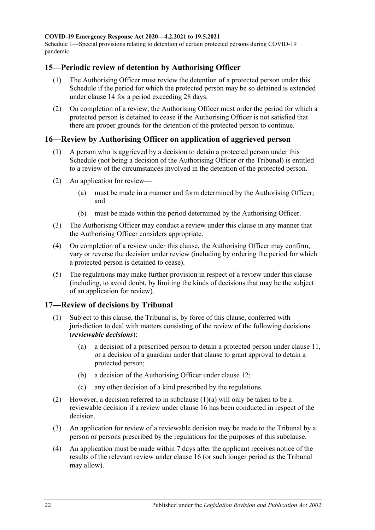Schedule 1—Special provisions relating to detention of certain protected persons during COVID-19 pandemic

## <span id="page-21-0"></span>**15—Periodic review of detention by Authorising Officer**

- (1) The Authorising Officer must review the detention of a protected person under this Schedule if the period for which the protected person may be so detained is extended under [clause](#page-20-1) 14 for a period exceeding 28 days.
- (2) On completion of a review, the Authorising Officer must order the period for which a protected person is detained to cease if the Authorising Officer is not satisfied that there are proper grounds for the detention of the protected person to continue.

# <span id="page-21-1"></span>**16—Review by Authorising Officer on application of aggrieved person**

- (1) A person who is aggrieved by a decision to detain a protected person under this Schedule (not being a decision of the Authorising Officer or the Tribunal) is entitled to a review of the circumstances involved in the detention of the protected person.
- (2) An application for review—
	- (a) must be made in a manner and form determined by the Authorising Officer; and
	- (b) must be made within the period determined by the Authorising Officer.
- (3) The Authorising Officer may conduct a review under this clause in any manner that the Authorising Officer considers appropriate.
- (4) On completion of a review under this clause, the Authorising Officer may confirm, vary or reverse the decision under review (including by ordering the period for which a protected person is detained to cease).
- (5) The regulations may make further provision in respect of a review under this clause (including, to avoid doubt, by limiting the kinds of decisions that may be the subject of an application for review).

# <span id="page-21-2"></span>**17—Review of decisions by Tribunal**

- <span id="page-21-3"></span>(1) Subject to this clause, the Tribunal is, by force of this clause, conferred with jurisdiction to deal with matters consisting of the review of the following decisions (*reviewable decisions*):
	- (a) a decision of a prescribed person to detain a protected person under [clause](#page-19-0) 11, or a decision of a guardian under that clause to grant approval to detain a protected person;
	- (b) a decision of the Authorising Officer under [clause](#page-19-1) 12;
	- (c) any other decision of a kind prescribed by the regulations.
- (2) However, a decision referred to in [subclause](#page-21-3) (1)(a) will only be taken to be a reviewable decision if a review under [clause](#page-21-1) 16 has been conducted in respect of the decision.
- (3) An application for review of a reviewable decision may be made to the Tribunal by a person or persons prescribed by the regulations for the purposes of this subclause.
- (4) An application must be made within 7 days after the applicant receives notice of the results of the relevant review under [clause](#page-21-1) 16 (or such longer period as the Tribunal may allow).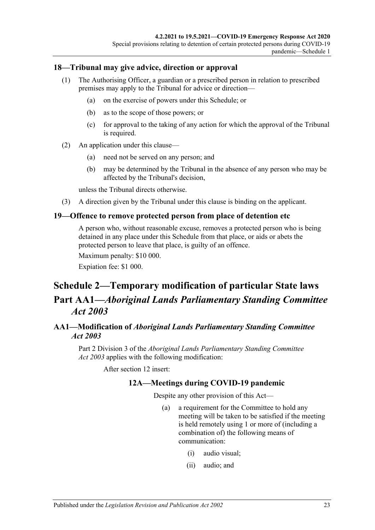## <span id="page-22-0"></span>**18—Tribunal may give advice, direction or approval**

- (1) The Authorising Officer, a guardian or a prescribed person in relation to prescribed premises may apply to the Tribunal for advice or direction—
	- (a) on the exercise of powers under this Schedule; or
	- (b) as to the scope of those powers; or
	- (c) for approval to the taking of any action for which the approval of the Tribunal is required.
- (2) An application under this clause—
	- (a) need not be served on any person; and
	- (b) may be determined by the Tribunal in the absence of any person who may be affected by the Tribunal's decision,

unless the Tribunal directs otherwise.

(3) A direction given by the Tribunal under this clause is binding on the applicant.

#### <span id="page-22-1"></span>**19—Offence to remove protected person from place of detention etc**

A person who, without reasonable excuse, removes a protected person who is being detained in any place under this Schedule from that place, or aids or abets the protected person to leave that place, is guilty of an offence.

Maximum penalty: \$10 000.

Expiation fee: \$1 000.

# <span id="page-22-2"></span>**Schedule 2—Temporary modification of particular State laws Part AA1—***Aboriginal Lands Parliamentary Standing Committee Act 2003*

# <span id="page-22-3"></span>**AA1—Modification of** *Aboriginal Lands Parliamentary Standing Committee Act 2003*

Part 2 Division 3 of the *[Aboriginal Lands Parliamentary Standing Committee](http://www.legislation.sa.gov.au/index.aspx?action=legref&type=act&legtitle=Aboriginal%20Lands%20Parliamentary%20Standing%20Committee%20Act%202003)  Act [2003](http://www.legislation.sa.gov.au/index.aspx?action=legref&type=act&legtitle=Aboriginal%20Lands%20Parliamentary%20Standing%20Committee%20Act%202003)* applies with the following modification:

After section 12 insert:

## **12A—Meetings during COVID-19 pandemic**

Despite any other provision of this Act—

- (a) a requirement for the Committee to hold any meeting will be taken to be satisfied if the meeting is held remotely using 1 or more of (including a combination of) the following means of communication:
	- (i) audio visual;
	- (ii) audio; and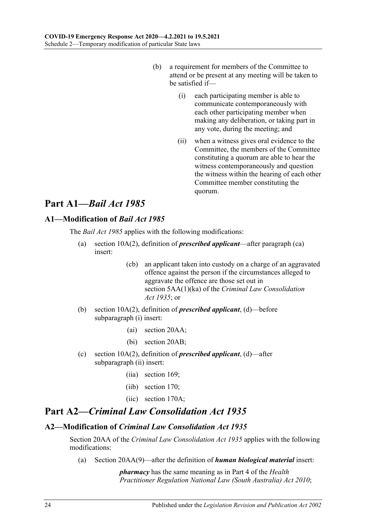- (b) a requirement for members of the Committee to attend or be present at any meeting will be taken to be satisfied if—
	- (i) each participating member is able to communicate contemporaneously with each other participating member when making any deliberation, or taking part in any vote, during the meeting; and
	- (ii) when a witness gives oral evidence to the Committee, the members of the Committee constituting a quorum are able to hear the witness contemporaneously and question the witness within the hearing of each other Committee member constituting the quorum.

# **Part A1—***Bail Act 1985*

# <span id="page-23-0"></span>**A1—Modification of** *Bail Act 1985*

The *[Bail Act](http://www.legislation.sa.gov.au/index.aspx?action=legref&type=act&legtitle=Bail%20Act%201985) 1985* applies with the following modifications:

- (a) section 10A(2), definition of *prescribed applicant*—after paragraph (ca) insert:
	- (cb) an applicant taken into custody on a charge of an aggravated offence against the person if the circumstances alleged to aggravate the offence are those set out in section 5AA(1)(ka) of the *[Criminal Law Consolidation](http://www.legislation.sa.gov.au/index.aspx?action=legref&type=act&legtitle=Criminal%20Law%20Consolidation%20Act%201935)  Act [1935](http://www.legislation.sa.gov.au/index.aspx?action=legref&type=act&legtitle=Criminal%20Law%20Consolidation%20Act%201935)*; or
- (b) section 10A(2), definition of *prescribed applicant*, (d)—before subparagraph (i) insert:
	- (ai) section 20AA;
	- (bi) section 20AB;
- (c) section 10A(2), definition of *prescribed applicant*, (d)—after subparagraph (ii) insert:
	- (iia) section 169;
	- (iib) section 170;
	- (iic) section 170A;

# **Part A2—***Criminal Law Consolidation Act 1935*

## <span id="page-23-1"></span>**A2—Modification of** *Criminal Law Consolidation Act 1935*

Section 20AA of the *[Criminal Law Consolidation Act](http://www.legislation.sa.gov.au/index.aspx?action=legref&type=act&legtitle=Criminal%20Law%20Consolidation%20Act%201935) 1935* applies with the following modifications:

(a) Section 20AA(9)—after the definition of *human biological material* insert:

*pharmacy* has the same meaning as in Part 4 of the *[Health](http://www.legislation.sa.gov.au/index.aspx?action=legref&type=act&legtitle=Health%20Practitioner%20Regulation%20National%20Law%20(South%20Australia)%20Act%202010)  [Practitioner Regulation National Law \(South Australia\) Act](http://www.legislation.sa.gov.au/index.aspx?action=legref&type=act&legtitle=Health%20Practitioner%20Regulation%20National%20Law%20(South%20Australia)%20Act%202010) 2010*;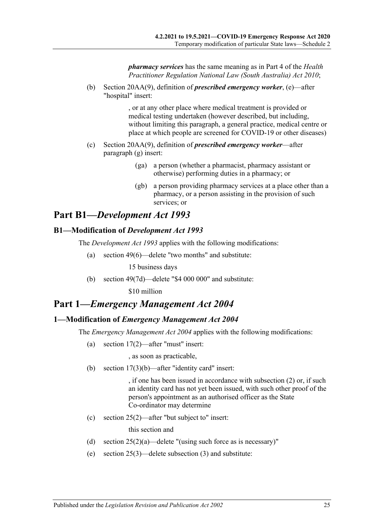*pharmacy services* has the same meaning as in Part 4 of the *[Health](http://www.legislation.sa.gov.au/index.aspx?action=legref&type=act&legtitle=Health%20Practitioner%20Regulation%20National%20Law%20(South%20Australia)%20Act%202010)  [Practitioner Regulation National Law \(South Australia\) Act](http://www.legislation.sa.gov.au/index.aspx?action=legref&type=act&legtitle=Health%20Practitioner%20Regulation%20National%20Law%20(South%20Australia)%20Act%202010) 2010*;

(b) Section 20AA(9), definition of *prescribed emergency worker*, (e)—after "hospital" insert:

> , or at any other place where medical treatment is provided or medical testing undertaken (however described, but including, without limiting this paragraph, a general practice, medical centre or place at which people are screened for COVID-19 or other diseases)

- (c) Section 20AA(9), definition of *prescribed emergency worker*—after paragraph (g) insert:
	- (ga) a person (whether a pharmacist, pharmacy assistant or otherwise) performing duties in a pharmacy; or
	- (gb) a person providing pharmacy services at a place other than a pharmacy, or a person assisting in the provision of such services; or

# **Part B1—***Development Act 1993*

# <span id="page-24-0"></span>**B1—Modification of** *Development Act 1993*

The *[Development Act](http://www.legislation.sa.gov.au/index.aspx?action=legref&type=act&legtitle=Development%20Act%201993) 1993* applies with the following modifications:

(a) section 49(6)—delete "two months" and substitute:

15 business days

(b) section  $49(7d)$ —delete "\$4 000 000" and substitute:

\$10 million

# **Part 1—***Emergency Management Act 2004*

## <span id="page-24-1"></span>**1—Modification of** *Emergency Management Act 2004*

The *[Emergency Management Act](http://www.legislation.sa.gov.au/index.aspx?action=legref&type=act&legtitle=Emergency%20Management%20Act%202004) 2004* applies with the following modifications:

(a) section 17(2)—after "must" insert:

, as soon as practicable,

(b) section 17(3)(b)—after "identity card" insert:

, if one has been issued in accordance with subsection (2) or, if such an identity card has not yet been issued, with such other proof of the person's appointment as an authorised officer as the State Co-ordinator may determine

(c) section 25(2)—after "but subject to" insert:

this section and

- (d) section  $25(2)(a)$ —delete "(using such force as is necessary)"
- (e) section 25(3)—delete subsection (3) and substitute: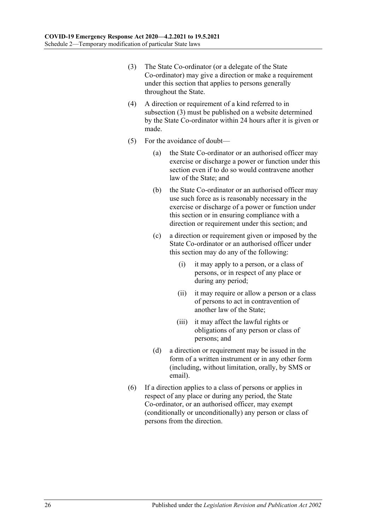- <span id="page-25-0"></span>(3) The State Co-ordinator (or a delegate of the State Co-ordinator) may give a direction or make a requirement under this section that applies to persons generally throughout the State.
- (4) A direction or requirement of a kind referred to in [subsection](#page-25-0) (3) must be published on a website determined by the State Co-ordinator within 24 hours after it is given or made.
- (5) For the avoidance of doubt—
	- (a) the State Co-ordinator or an authorised officer may exercise or discharge a power or function under this section even if to do so would contravene another law of the State; and
	- (b) the State Co-ordinator or an authorised officer may use such force as is reasonably necessary in the exercise or discharge of a power or function under this section or in ensuring compliance with a direction or requirement under this section; and
	- (c) a direction or requirement given or imposed by the State Co-ordinator or an authorised officer under this section may do any of the following:
		- (i) it may apply to a person, or a class of persons, or in respect of any place or during any period;
		- (ii) it may require or allow a person or a class of persons to act in contravention of another law of the State;
		- (iii) it may affect the lawful rights or obligations of any person or class of persons; and
	- (d) a direction or requirement may be issued in the form of a written instrument or in any other form (including, without limitation, orally, by SMS or email).
- (6) If a direction applies to a class of persons or applies in respect of any place or during any period, the State Co-ordinator, or an authorised officer, may exempt (conditionally or unconditionally) any person or class of persons from the direction.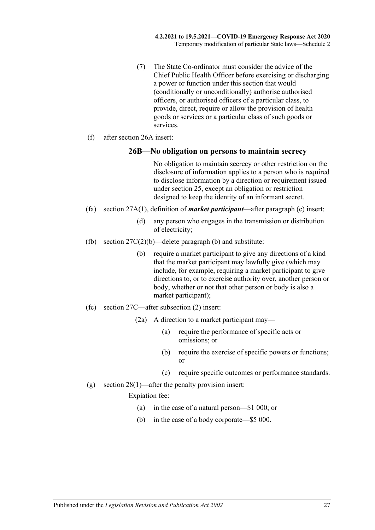- (7) The State Co-ordinator must consider the advice of the Chief Public Health Officer before exercising or discharging a power or function under this section that would (conditionally or unconditionally) authorise authorised officers, or authorised officers of a particular class, to provide, direct, require or allow the provision of health goods or services or a particular class of such goods or services.
- (f) after section 26A insert:

#### **26B—No obligation on persons to maintain secrecy**

No obligation to maintain secrecy or other restriction on the disclosure of information applies to a person who is required to disclose information by a direction or requirement issued under section 25, except an obligation or restriction designed to keep the identity of an informant secret.

- (fa) section 27A(1), definition of *market participant*—after paragraph (c) insert:
	- (d) any person who engages in the transmission or distribution of electricity;
- (fb) section  $27C(2)(b)$ —delete paragraph (b) and substitute:
	- (b) require a market participant to give any directions of a kind that the market participant may lawfully give (which may include, for example, requiring a market participant to give directions to, or to exercise authority over, another person or body, whether or not that other person or body is also a market participant);
- (fc) section 27C—after subsection (2) insert:
	- (2a) A direction to a market participant may—
		- (a) require the performance of specific acts or omissions; or
		- (b) require the exercise of specific powers or functions; or
		- (c) require specific outcomes or performance standards.
- (g) section 28(1)—after the penalty provision insert:

Expiation fee:

- (a) in the case of a natural person—\$1 000; or
- (b) in the case of a body corporate—\$5 000.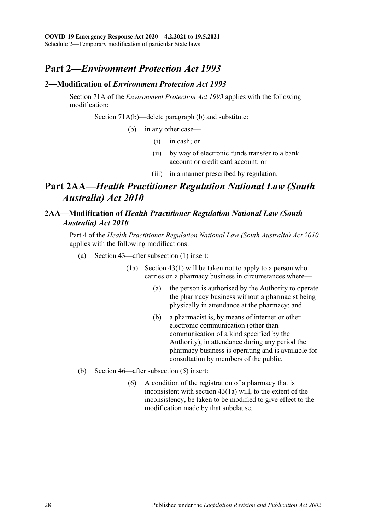# **Part 2—***Environment Protection Act 1993*

## <span id="page-27-0"></span>**2—Modification of** *Environment Protection Act 1993*

Section 71A of the *[Environment Protection Act](http://www.legislation.sa.gov.au/index.aspx?action=legref&type=act&legtitle=Environment%20Protection%20Act%201993) 1993* applies with the following modification:

Section 71A(b)—delete paragraph (b) and substitute:

(b) in any other case—

- (i) in cash; or
- (ii) by way of electronic funds transfer to a bank account or credit card account; or
- (iii) in a manner prescribed by regulation.

# **Part 2AA—***Health Practitioner Regulation National Law (South Australia) Act 2010*

# <span id="page-27-1"></span>**2AA—Modification of** *Health Practitioner Regulation National Law (South Australia) Act 2010*

Part 4 of the *[Health Practitioner Regulation National Law \(South Australia\) Act](http://www.legislation.sa.gov.au/index.aspx?action=legref&type=act&legtitle=Health%20Practitioner%20Regulation%20National%20Law%20(South%20Australia)%20Act%202010) 2010* applies with the following modifications:

- (a) Section 43—after subsection (1) insert:
	- (1a) Section 43(1) will be taken not to apply to a person who carries on a pharmacy business in circumstances where—
		- (a) the person is authorised by the Authority to operate the pharmacy business without a pharmacist being physically in attendance at the pharmacy; and
		- (b) a pharmacist is, by means of internet or other electronic communication (other than communication of a kind specified by the Authority), in attendance during any period the pharmacy business is operating and is available for consultation by members of the public.
- (b) Section 46—after subsection (5) insert:
	- (6) A condition of the registration of a pharmacy that is inconsistent with section 43(1a) will, to the extent of the inconsistency, be taken to be modified to give effect to the modification made by that subclause.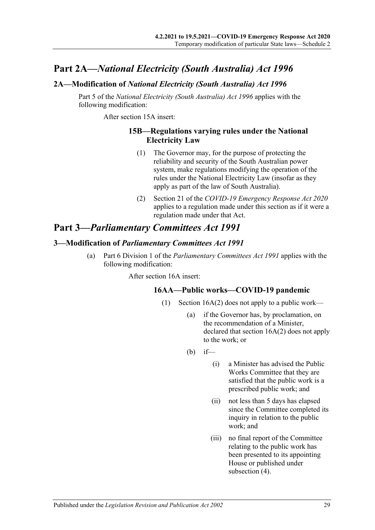# **Part 2A—***National Electricity (South Australia) Act 1996*

# <span id="page-28-0"></span>**2A—Modification of** *National Electricity (South Australia) Act 1996*

Part 5 of the *[National Electricity \(South Australia\) Act](http://www.legislation.sa.gov.au/index.aspx?action=legref&type=act&legtitle=National%20Electricity%20(South%20Australia)%20Act%201996) 1996* applies with the following modification:

After section 15A insert:

#### **15B—Regulations varying rules under the National Electricity Law**

- (1) The Governor may, for the purpose of protecting the reliability and security of the South Australian power system, make regulations modifying the operation of the rules under the National Electricity Law (insofar as they apply as part of the law of South Australia).
- (2) Section 21 of the *[COVID-19 Emergency Response Act](http://www.legislation.sa.gov.au/index.aspx?action=legref&type=act&legtitle=COVID-19%20Emergency%20Response%20Act%202020) 2020* applies to a regulation made under this section as if it were a regulation made under that Act.

# **Part 3—***Parliamentary Committees Act 1991*

#### <span id="page-28-1"></span>**3—Modification of** *Parliamentary Committees Act 1991*

<span id="page-28-2"></span>(a) Part 6 Division 1 of the *[Parliamentary Committees Act](http://www.legislation.sa.gov.au/index.aspx?action=legref&type=act&legtitle=Parliamentary%20Committees%20Act%201991) 1991* applies with the following modification:

After section 16A insert:

## **16AA—Public works—COVID-19 pandemic**

- (1) Section 16A(2) does not apply to a public work—
	- (a) if the Governor has, by proclamation, on the recommendation of a Minister, declared that section 16A(2) does not apply to the work; or
	- $(b)$  if—
		- (i) a Minister has advised the Public Works Committee that they are satisfied that the public work is a prescribed public work; and
		- (ii) not less than 5 days has elapsed since the Committee completed its inquiry in relation to the public work; and
		- (iii) no final report of the Committee relating to the public work has been presented to its appointing House or published under [subsection](#page-29-0) (4).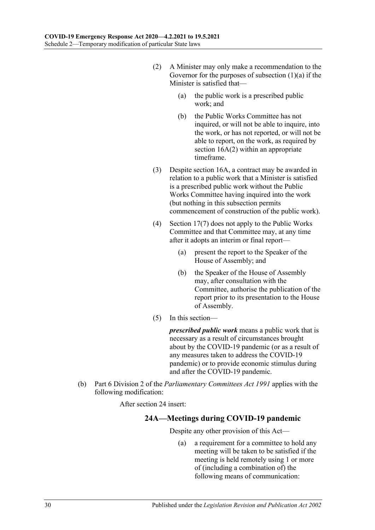- (2) A Minister may only make a recommendation to the Governor for the purposes of [subsection](#page-28-2)  $(1)(a)$  if the Minister is satisfied that—
	- (a) the public work is a prescribed public work; and
	- (b) the Public Works Committee has not inquired, or will not be able to inquire, into the work, or has not reported, or will not be able to report, on the work, as required by section  $16A(2)$  within an appropriate timeframe.
- (3) Despite section 16A, a contract may be awarded in relation to a public work that a Minister is satisfied is a prescribed public work without the Public Works Committee having inquired into the work (but nothing in this subsection permits commencement of construction of the public work).
- <span id="page-29-0"></span>(4) Section 17(7) does not apply to the Public Works Committee and that Committee may, at any time after it adopts an interim or final report—
	- (a) present the report to the Speaker of the House of Assembly; and
	- (b) the Speaker of the House of Assembly may, after consultation with the Committee, authorise the publication of the report prior to its presentation to the House of Assembly.
- (5) In this section—

*prescribed public work* means a public work that is necessary as a result of circumstances brought about by the COVID-19 pandemic (or as a result of any measures taken to address the COVID-19 pandemic) or to provide economic stimulus during and after the COVID-19 pandemic.

(b) Part 6 Division 2 of the *[Parliamentary Committees Act](http://www.legislation.sa.gov.au/index.aspx?action=legref&type=act&legtitle=Parliamentary%20Committees%20Act%201991) 1991* applies with the following modification:

After section 24 insert:

# **24A—Meetings during COVID-19 pandemic**

Despite any other provision of this Act—

(a) a requirement for a committee to hold any meeting will be taken to be satisfied if the meeting is held remotely using 1 or more of (including a combination of) the following means of communication: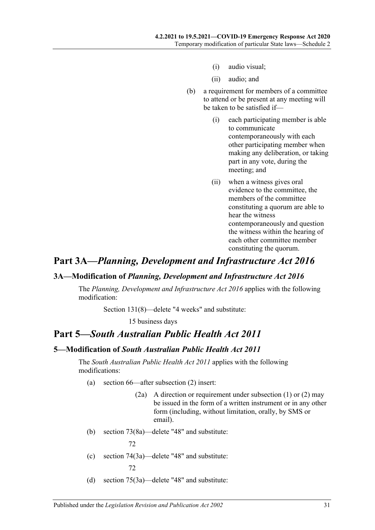- (i) audio visual;
- (ii) audio; and
- (b) a requirement for members of a committee to attend or be present at any meeting will be taken to be satisfied if—
	- (i) each participating member is able to communicate contemporaneously with each other participating member when making any deliberation, or taking part in any vote, during the meeting; and
	- (ii) when a witness gives oral evidence to the committee, the members of the committee constituting a quorum are able to hear the witness contemporaneously and question the witness within the hearing of each other committee member constituting the quorum.

# **Part 3A—***Planning, Development and Infrastructure Act 2016*

#### <span id="page-30-0"></span>**3A—Modification of** *Planning, Development and Infrastructure Act 2016*

The *[Planning, Development and Infrastructure Act](http://www.legislation.sa.gov.au/index.aspx?action=legref&type=act&legtitle=Planning%20Development%20and%20Infrastructure%20Act%202016) 2016* applies with the following modification:

Section 131(8)—delete "4 weeks" and substitute:

15 business days

# **Part 5—***South Australian Public Health Act 2011*

# <span id="page-30-1"></span>**5—Modification of** *South Australian Public Health Act 2011*

The *[South Australian Public Health Act](http://www.legislation.sa.gov.au/index.aspx?action=legref&type=act&legtitle=South%20Australian%20Public%20Health%20Act%202011) 2011* applies with the following modifications:

- (a) section 66—after subsection (2) insert:
	- (2a) A direction or requirement under subsection (1) or (2) may be issued in the form of a written instrument or in any other form (including, without limitation, orally, by SMS or email).
- (b) section 73(8a)—delete "48" and substitute:

72

- (c) section 74(3a)—delete "48" and substitute: 72
- (d) section 75(3a)—delete "48" and substitute: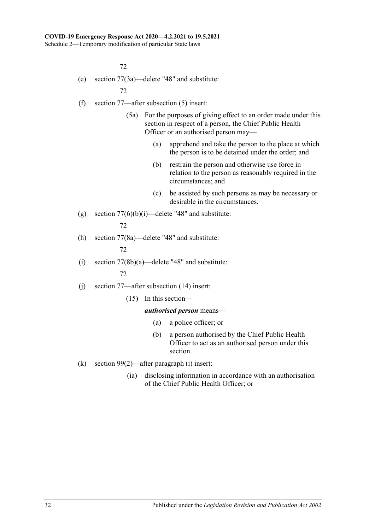72

(e) section 77(3a)—delete "48" and substitute:

72

- (f) section 77—after subsection (5) insert:
	- (5a) For the purposes of giving effect to an order made under this section in respect of a person, the Chief Public Health Officer or an authorised person may—
		- (a) apprehend and take the person to the place at which the person is to be detained under the order; and
		- (b) restrain the person and otherwise use force in relation to the person as reasonably required in the circumstances; and
		- (c) be assisted by such persons as may be necessary or desirable in the circumstances.
- (g) section  $77(6)(b)(i)$ —delete "48" and substitute: 72
- (h) section 77(8a)—delete "48" and substitute:

72

(i) section  $77(8b)(a)$ —delete "48" and substitute:

72

- (j) section 77—after subsection (14) insert:
	- (15) In this section—

#### *authorised person* means—

- (a) a police officer; or
- (b) a person authorised by the Chief Public Health Officer to act as an authorised person under this section.
- (k) section 99(2)—after paragraph (i) insert:
	- (ia) disclosing information in accordance with an authorisation of the Chief Public Health Officer; or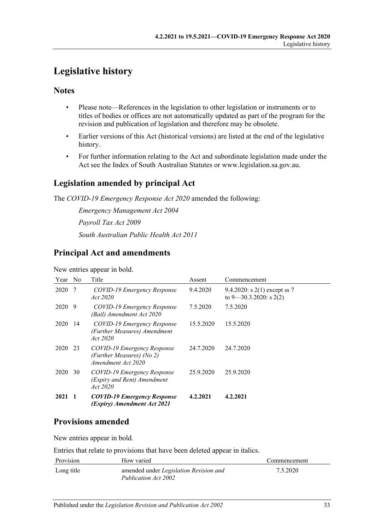# <span id="page-32-0"></span>**Legislative history**

# **Notes**

- Please note—References in the legislation to other legislation or instruments or to titles of bodies or offices are not automatically updated as part of the program for the revision and publication of legislation and therefore may be obsolete.
- Earlier versions of this Act (historical versions) are listed at the end of the legislative history.
- For further information relating to the Act and subordinate legislation made under the Act see the Index of South Australian Statutes or www.legislation.sa.gov.au.

# **Legislation amended by principal Act**

The *COVID-19 Emergency Response Act 2020* amended the following:

*Emergency Management Act 2004 Payroll Tax Act 2009 South Australian Public Health Act 2011*

# **Principal Act and amendments**

#### New entries appear in bold.

| Year | N <sub>0</sub> | Title                                                                          | Assent    | Commencement                                                  |
|------|----------------|--------------------------------------------------------------------------------|-----------|---------------------------------------------------------------|
| 2020 | -7             | COVID-19 Emergency Response<br>Act 2020                                        | 9.4.2020  | 9.4.2020: s $2(1)$ except ss 7<br>to $9 - 30.3.2020$ : s 2(2) |
| 2020 | -9             | COVID-19 Emergency Response<br>(Bail) Amendment Act 2020                       | 7.5.2020  | 7.5.2020                                                      |
| 2020 | -14            | COVID-19 Emergency Response<br>(Further Measures) Amendment<br>Act 2020        | 15.5.2020 | 15.5.2020                                                     |
| 2020 | 23             | COVID-19 Emergency Response<br>(Further Measures) (No 2)<br>Amendment Act 2020 | 24.7.2020 | 24.7.2020                                                     |
| 2020 | 30             | COVID-19 Emergency Response<br>(Expiry and Rent) Amendment<br>Act 2020         | 25.9.2020 | 25.9.2020                                                     |
| 2021 |                | <b>COVID-19 Emergency Response</b><br>(Expiry) Amendment Act 2021              | 4.2.2021  | 4.2.2021                                                      |

# **Provisions amended**

New entries appear in bold.

Entries that relate to provisions that have been deleted appear in italics.

| Provision  | How varied                                                     | Commencement |
|------------|----------------------------------------------------------------|--------------|
| Long title | amended under Legislation Revision and<br>Publication Act 2002 | 7.5.2020     |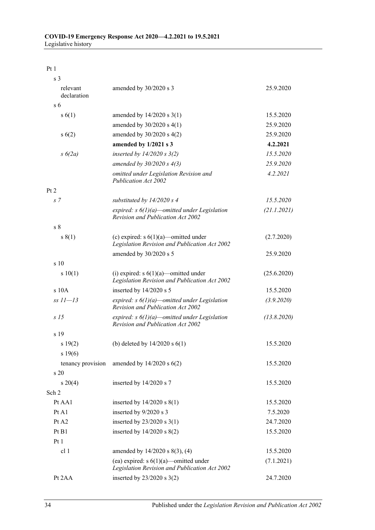Pt 1

| s <sub>3</sub>          |                                                                                                     |             |
|-------------------------|-----------------------------------------------------------------------------------------------------|-------------|
| relevant<br>declaration | amended by 30/2020 s 3                                                                              | 25.9.2020   |
| s <sub>6</sub>          |                                                                                                     |             |
| s(6(1))                 | amended by $14/2020$ s $3(1)$                                                                       | 15.5.2020   |
|                         | amended by $30/2020$ s 4(1)                                                                         | 25.9.2020   |
| s(6(2))                 | amended by $30/2020$ s $4(2)$                                                                       | 25.9.2020   |
|                         | amended by 1/2021 s 3                                                                               | 4.2.2021    |
| $s\ 6(2a)$              | inserted by $14/2020 s 3(2)$                                                                        | 15.5.2020   |
|                         | amended by $30/2020 s 4(3)$                                                                         | 25.9.2020   |
|                         | omitted under Legislation Revision and<br><b>Publication Act 2002</b>                               | 4.2.2021    |
| Pt 2                    |                                                                                                     |             |
| s 7                     | substituted by $14/2020 s 4$                                                                        | 15.5.2020   |
|                         | expired: $s \frac{6}{1}(a)$ -omitted under Legislation<br><b>Revision and Publication Act 2002</b>  | (21.1.2021) |
| s <sub>8</sub>          |                                                                                                     |             |
| s(1)                    | (c) expired: $s \ 6(1)(a)$ —omitted under<br>Legislation Revision and Publication Act 2002          | (2.7.2020)  |
|                         | amended by 30/2020 s 5                                                                              | 25.9.2020   |
| s 10                    |                                                                                                     |             |
| s 10(1)                 | (i) expired: $s \frac{6}{1}(a)$ -omitted under<br>Legislation Revision and Publication Act 2002     | (25.6.2020) |
| s10A                    | inserted by 14/2020 s 5                                                                             | 15.5.2020   |
| $ss 11 - 13$            | expired: $s \frac{6}{l}$ )(a)—omitted under Legislation<br><b>Revision and Publication Act 2002</b> | (3.9.2020)  |
| s <sub>15</sub>         | expired: $s \frac{6}{l}$ )(a)—omitted under Legislation<br><b>Revision and Publication Act 2002</b> | (13.8.2020) |
| s 19                    |                                                                                                     |             |
| s 19(2)<br>s 19(6)      | (b) deleted by $14/2020$ s $6(1)$                                                                   | 15.5.2020   |
| tenancy provision       | amended by $14/2020$ s $6(2)$                                                                       | 15.5.2020   |
| s 20                    |                                                                                                     |             |
| $s \ 20(4)$             | inserted by 14/2020 s 7                                                                             | 15.5.2020   |
| Sch 2                   |                                                                                                     |             |
| Pt AA1                  | inserted by $14/2020$ s $8(1)$                                                                      | 15.5.2020   |
| Pt A1                   | inserted by 9/2020 s 3                                                                              | 7.5.2020    |
| Pt A2                   | inserted by $23/2020$ s 3(1)                                                                        | 24.7.2020   |
| Pt B1                   | inserted by $14/2020$ s $8(2)$                                                                      | 15.5.2020   |
| Pt1                     |                                                                                                     |             |
| cl 1                    | amended by 14/2020 s 8(3), (4)                                                                      | 15.5.2020   |
|                         | (ea) expired: $s \frac{6(1)}{a}$ -omitted under<br>Legislation Revision and Publication Act 2002    | (7.1.2021)  |
| Pt 2AA                  | inserted by $23/2020$ s $3(2)$                                                                      | 24.7.2020   |